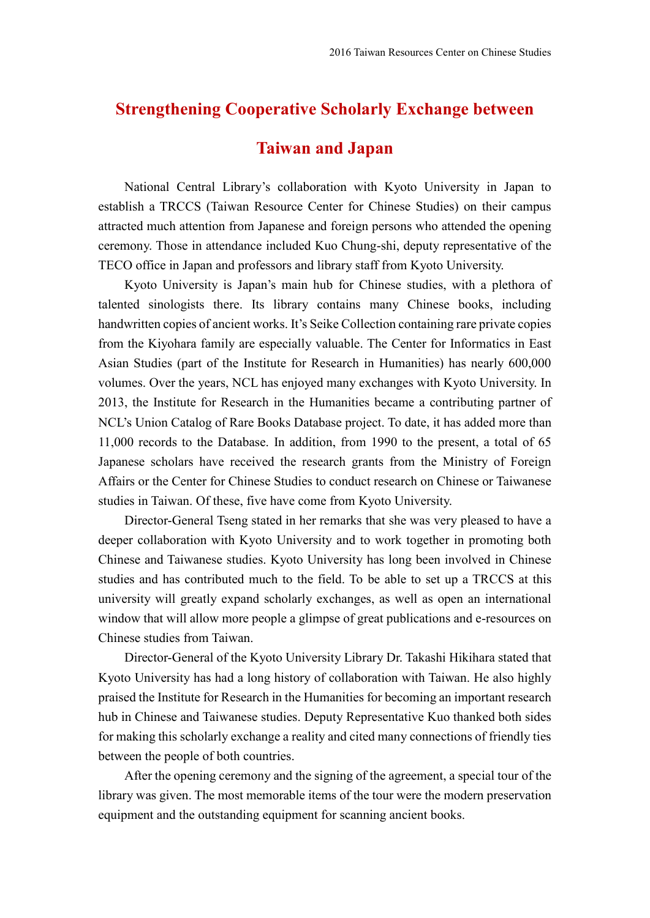## **Strengthening Cooperative Scholarly Exchange between**

## **Taiwan and Japan**

National Central Library's collaboration with Kyoto University in Japan to establish a TRCCS (Taiwan Resource Center for Chinese Studies) on their campus attracted much attention from Japanese and foreign persons who attended the opening ceremony. Those in attendance included Kuo Chung-shi, deputy representative of the TECO office in Japan and professors and library staff from Kyoto University.

Kyoto University is Japan's main hub for Chinese studies, with a plethora of talented sinologists there. Its library contains many Chinese books, including handwritten copies of ancient works. It's Seike Collection containing rare private copies from the Kiyohara family are especially valuable. The Center for Informatics in East Asian Studies (part of the Institute for Research in Humanities) has nearly 600,000 volumes. Over the years, NCL has enjoyed many exchanges with Kyoto University. In 2013, the Institute for Research in the Humanities became a contributing partner of NCL's Union Catalog of Rare Books Database project. To date, it has added more than 11,000 records to the Database. In addition, from 1990 to the present, a total of 65 Japanese scholars have received the research grants from the Ministry of Foreign Affairs or the Center for Chinese Studies to conduct research on Chinese or Taiwanese studies in Taiwan. Of these, five have come from Kyoto University.

Director-General Tseng stated in her remarks that she was very pleased to have a deeper collaboration with Kyoto University and to work together in promoting both Chinese and Taiwanese studies. Kyoto University has long been involved in Chinese studies and has contributed much to the field. To be able to set up a TRCCS at this university will greatly expand scholarly exchanges, as well as open an international window that will allow more people a glimpse of great publications and e-resources on Chinese studies from Taiwan.

Director-General of the Kyoto University Library Dr. Takashi Hikihara stated that Kyoto University has had a long history of collaboration with Taiwan. He also highly praised the Institute for Research in the Humanities for becoming an important research hub in Chinese and Taiwanese studies. Deputy Representative Kuo thanked both sides for making this scholarly exchange a reality and cited many connections of friendly ties between the people of both countries.

After the opening ceremony and the signing of the agreement, a special tour of the library was given. The most memorable items of the tour were the modern preservation equipment and the outstanding equipment for scanning ancient books.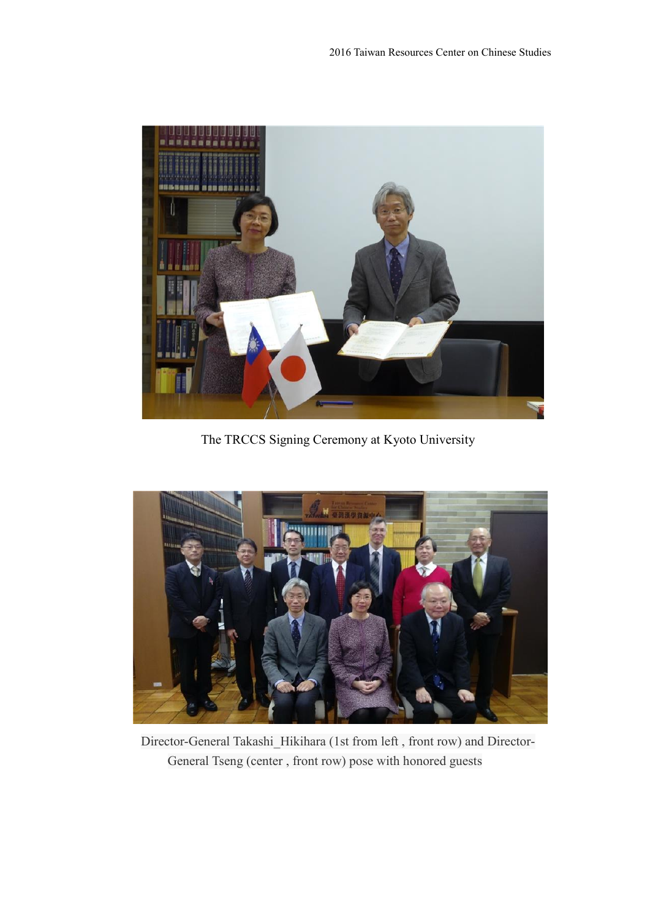

The TRCCS Signing Ceremony at Kyoto University



Director-General Takashi\_Hikihara (1st from left , front row) and Director-General Tseng (center , front row) pose with honored guests